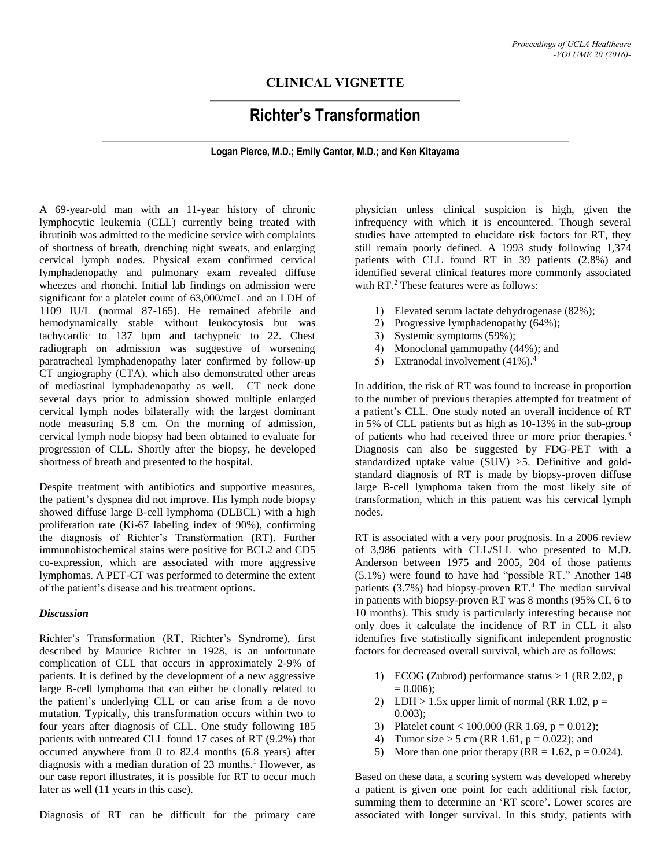# **CLINICAL VIGNETTE**

# **Richter's Transformation**

**Logan Pierce, M.D.; Emily Cantor, M.D.; and Ken Kitayama**

A 69-year-old man with an 11-year history of chronic lymphocytic leukemia (CLL) currently being treated with ibrutinib was admitted to the medicine service with complaints of shortness of breath, drenching night sweats, and enlarging cervical lymph nodes. Physical exam confirmed cervical lymphadenopathy and pulmonary exam revealed diffuse wheezes and rhonchi. Initial lab findings on admission were significant for a platelet count of 63,000/mcL and an LDH of 1109 IU/L (normal 87-165). He remained afebrile and hemodynamically stable without leukocytosis but was tachycardic to 137 bpm and tachypneic to 22. Chest radiograph on admission was suggestive of worsening paratracheal lymphadenopathy later confirmed by follow-up CT angiography (CTA), which also demonstrated other areas of mediastinal lymphadenopathy as well. CT neck done several days prior to admission showed multiple enlarged cervical lymph nodes bilaterally with the largest dominant node measuring 5.8 cm. On the morning of admission, cervical lymph node biopsy had been obtained to evaluate for progression of CLL. Shortly after the biopsy, he developed shortness of breath and presented to the hospital.

Despite treatment with antibiotics and supportive measures, the patient's dyspnea did not improve. His lymph node biopsy showed diffuse large B-cell lymphoma (DLBCL) with a high proliferation rate (Ki-67 labeling index of 90%), confirming the diagnosis of Richter's Transformation (RT). Further immunohistochemical stains were positive for BCL2 and CD5 co-expression, which are associated with more aggressive lymphomas. A PET-CT was performed to determine the extent of the patient's disease and his treatment options.

## *Discussion*

Richter's Transformation (RT, Richter's Syndrome), first described by Maurice Richter in 1928, is an unfortunate complication of CLL that occurs in approximately 2-9% of patients. It is defined by the development of a new aggressive large B-cell lymphoma that can either be clonally related to the patient's underlying CLL or can arise from a de novo mutation. Typically, this transformation occurs within two to four years after diagnosis of CLL. One study following 185 patients with untreated CLL found 17 cases of RT (9.2%) that occurred anywhere from 0 to 82.4 months (6.8 years) after diagnosis with a median duration of 23 months. <sup>1</sup> However, as our case report illustrates, it is possible for RT to occur much later as well (11 years in this case).

Diagnosis of RT can be difficult for the primary care

physician unless clinical suspicion is high, given the infrequency with which it is encountered. Though several studies have attempted to elucidate risk factors for RT, they still remain poorly defined. A 1993 study following 1,374 patients with CLL found RT in 39 patients (2.8%) and identified several clinical features more commonly associated with RT.<sup>2</sup> These features were as follows:

- 1) Elevated serum lactate dehydrogenase (82%);
- 2) Progressive lymphadenopathy (64%);
- 3) Systemic symptoms (59%);
- 4) Monoclonal gammopathy (44%); and
- 5) Extranodal involvement (41%). 4

In addition, the risk of RT was found to increase in proportion to the number of previous therapies attempted for treatment of a patient's CLL. One study noted an overall incidence of RT in 5% of CLL patients but as high as 10-13% in the sub-group of patients who had received three or more prior therapies. 3 Diagnosis can also be suggested by FDG-PET with a standardized uptake value (SUV) >5. Definitive and goldstandard diagnosis of RT is made by biopsy-proven diffuse large B-cell lymphoma taken from the most likely site of transformation, which in this patient was his cervical lymph nodes.

RT is associated with a very poor prognosis. In a 2006 review of 3,986 patients with CLL/SLL who presented to M.D. Anderson between 1975 and 2005, 204 of those patients (5.1%) were found to have had "possible RT." Another 148 patients (3.7%) had biopsy-proven RT. <sup>4</sup> The median survival in patients with biopsy-proven RT was 8 months (95% CI, 6 to 10 months). This study is particularly interesting because not only does it calculate the incidence of RT in CLL it also identifies five statistically significant independent prognostic factors for decreased overall survival, which are as follows:

- 1) ECOG (Zubrod) performance status  $> 1$  (RR 2.02, p)  $= 0.006$ ;
- 2) LDH > 1.5x upper limit of normal (RR 1.82,  $p =$ 0.003);
- 3) Platelet count < 100,000 (RR 1.69,  $p = 0.012$ );
- 4) Tumor size  $> 5$  cm (RR 1.61, p = 0.022); and
- 5) More than one prior therapy ( $RR = 1.62$ ,  $p = 0.024$ ).

Based on these data, a scoring system was developed whereby a patient is given one point for each additional risk factor, summing them to determine an 'RT score'. Lower scores are associated with longer survival. In this study, patients with